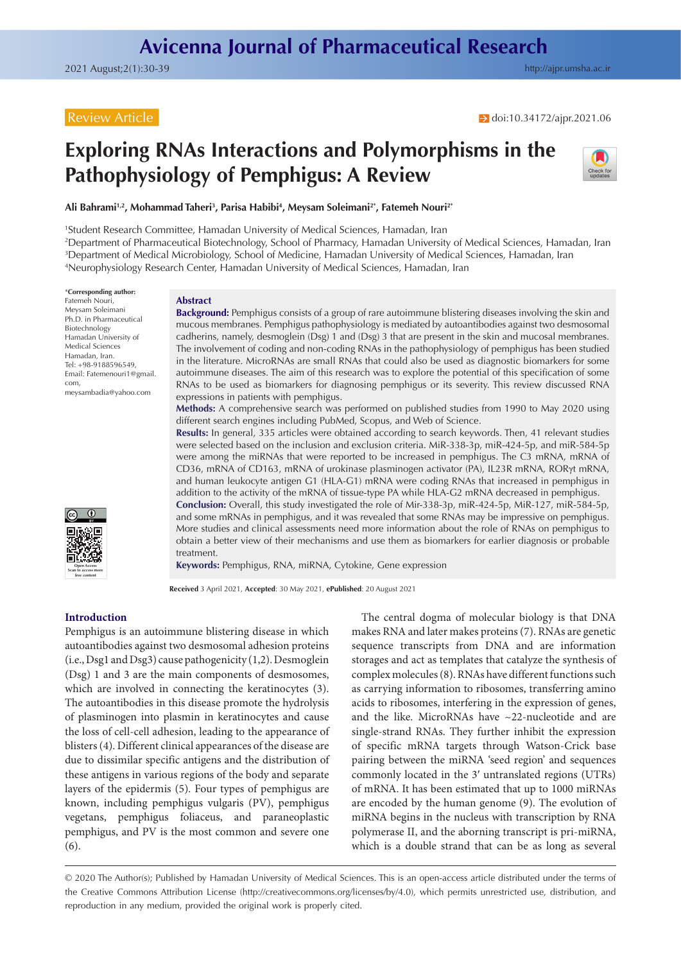# Review Article

**→** doi[:10.34172/ajpr.2021.06](https://doi.org/10.34172/ajpr.2021.06)

# **Exploring RNAs Interactions and Polymorphisms in the Pathophysiology of Pemphigus: A Review**



Ali Bahrami<sup>1,2</sup>, Mohammad Taheri<sup>3</sup>, Parisa Habibi<sup>4</sup>, Meysam Soleimani<sup>2\*</sup>, Fatemeh Nouri<sup>2\*</sup>

1 Student Research Committee, Hamadan University of Medical Sciences, Hamadan, Iran

2 Department of Pharmaceutical Biotechnology, School of Pharmacy, Hamadan University of Medical Sciences, Hamadan, Iran 3 Department of Medical Microbiology, School of Medicine, Hamadan University of Medical Sciences, Hamadan, Iran 4 Neurophysiology Research Center, Hamadan University of Medical Sciences, Hamadan, Iran

\***Corresponding author:** Fatemeh Nouri, Meysam Soleimani Ph.D. in Pharmaceutical Biotechnology Hamadan University of Medical Sciences Hamadan, Iran. Tel: +98-9188596549, Email: Fatemenouri1@gmail. com, meysambadia@yahoo.com



#### **Abstract**

**Background:** Pemphigus consists of a group of rare autoimmune blistering diseases involving the skin and mucous membranes. Pemphigus pathophysiology is mediated by autoantibodies against two desmosomal cadherins, namely, desmoglein (Dsg) 1 and (Dsg) 3 that are present in the skin and mucosal membranes. The involvement of coding and non-coding RNAs in the pathophysiology of pemphigus has been studied in the literature. MicroRNAs are small RNAs that could also be used as diagnostic biomarkers for some autoimmune diseases. The aim of this research was to explore the potential of this specification of some RNAs to be used as biomarkers for diagnosing pemphigus or its severity. This review discussed RNA expressions in patients with pemphigus.

**Methods:** A comprehensive search was performed on published studies from 1990 to May 2020 using different search engines including PubMed, Scopus, and Web of Science.

**Results:** In general, 335 articles were obtained according to search keywords. Then, 41 relevant studies were selected based on the inclusion and exclusion criteria. MiR-338-3p, miR-424-5p, and miR-584-5p were among the miRNAs that were reported to be increased in pemphigus. The C3 mRNA, mRNA of CD36, mRNA of CD163, mRNA of urokinase plasminogen activator (PA), IL23R mRNA, RORγt mRNA, and human leukocyte antigen G1 (HLA-G1) mRNA were coding RNAs that increased in pemphigus in addition to the activity of the mRNA of tissue-type PA while HLA-G2 mRNA decreased in pemphigus. **Conclusion:** Overall, this study investigated the role of Mir-338-3p, miR-424-5p, MiR-127, miR-584-5p, and some mRNAs in pemphigus, and it was revealed that some RNAs may be impressive on pemphigus. More studies and clinical assessments need more information about the role of RNAs on pemphigus to

obtain a better view of their mechanisms and use them as biomarkers for earlier diagnosis or probable treatment.

**Keywords:** Pemphigus, RNA, miRNA, Cytokine, Gene expression

**Received** 3 April 2021, **Accepted**: 30 May 2021, **ePublished**: 20 August 2021

### **Introduction**

Pemphigus is an autoimmune blistering disease in which autoantibodies against two desmosomal adhesion proteins (i.e., Dsg1 and Dsg3) cause pathogenicity (1,2). Desmoglein (Dsg) 1 and 3 are the main components of desmosomes, which are involved in connecting the keratinocytes (3). The autoantibodies in this disease promote the hydrolysis of plasminogen into plasmin in keratinocytes and cause the loss of cell-cell adhesion, leading to the appearance of blisters (4). Different clinical appearances of the disease are due to dissimilar specific antigens and the distribution of these antigens in various regions of the body and separate layers of the epidermis (5). Four types of pemphigus are known, including pemphigus vulgaris (PV), pemphigus vegetans, pemphigus foliaceus, and paraneoplastic pemphigus, and PV is the most common and severe one (6).

The central dogma of molecular biology is that DNA makes RNA and later makes proteins (7). RNAs are genetic sequence transcripts from DNA and are information storages and act as templates that catalyze the synthesis of complex molecules (8). RNAs have different functions such as carrying information to ribosomes, transferring amino acids to ribosomes, interfering in the expression of genes, and the like. MicroRNAs have ~22-nucleotide and are single-strand RNAs. They further inhibit the expression of specific mRNA targets through Watson-Crick base pairing between the miRNA 'seed region' and sequences commonly located in the 3′ untranslated regions (UTRs) of mRNA. It has been estimated that up to 1000 miRNAs are encoded by the human genome (9). The evolution of miRNA begins in the nucleus with transcription by RNA polymerase II, and the aborning transcript is pri-miRNA, which is a double strand that can be as long as several

© 2020 The Author(s); Published by Hamadan University of Medical Sciences. This is an open-access article distributed under the terms of the Creative Commons Attribution License [\(http://creativecommons.org/licenses/by/4.0](http://creativecommons.org/licenses/by/4.0)), which permits unrestricted use, distribution, and reproduction in any medium, provided the original work is properly cited.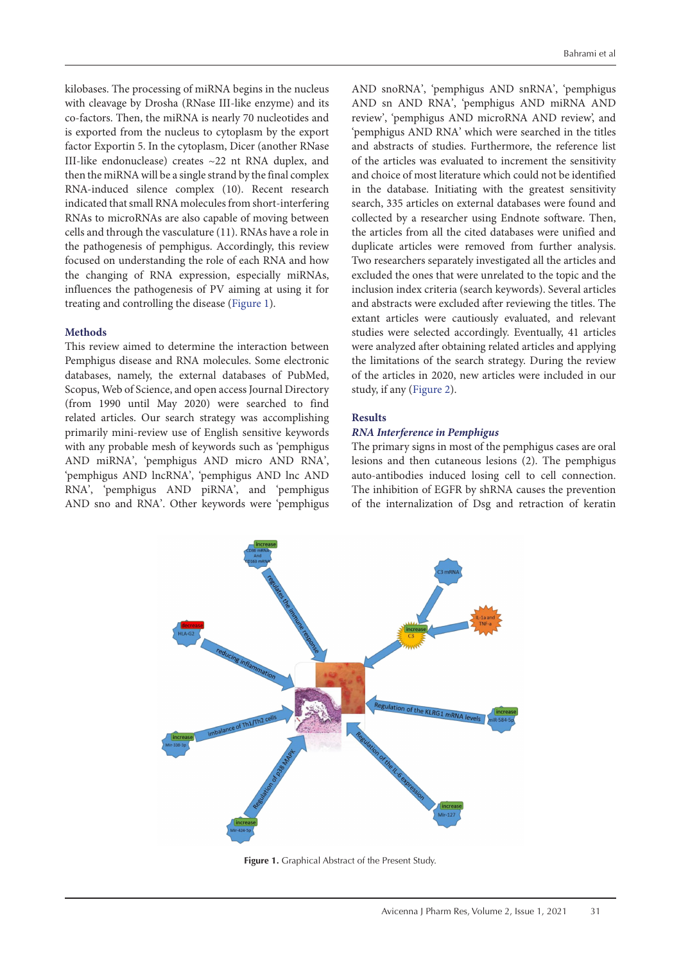kilobases. The processing of miRNA begins in the nucleus with cleavage by Drosha (RNase III-like enzyme) and its co-factors. Then, the miRNA is nearly 70 nucleotides and is exported from the nucleus to cytoplasm by the export factor Exportin 5. In the cytoplasm, Dicer (another RNase III-like endonuclease) creates ~22 nt RNA duplex, and then the miRNA will be a single strand by the final complex RNA-induced silence complex (10). Recent research indicated that small RNA molecules from short-interfering RNAs to microRNAs are also capable of moving between cells and through the vasculature (11). RNAs have a role in the pathogenesis of pemphigus. Accordingly, this review focused on understanding the role of each RNA and how the changing of RNA expression, especially miRNAs, influences the pathogenesis of PV aiming at using it for treating and controlling the disease ([Figure 1](#page-1-0)).

### **Methods**

This review aimed to determine the interaction between Pemphigus disease and RNA molecules. Some electronic databases, namely, the external databases of PubMed, Scopus, Web of Science, and open access Journal Directory (from 1990 until May 2020) were searched to find related articles. Our search strategy was accomplishing primarily mini-review use of English sensitive keywords with any probable mesh of keywords such as 'pemphigus AND miRNA', 'pemphigus AND micro AND RNA', 'pemphigus AND lncRNA', 'pemphigus AND lnc AND RNA', 'pemphigus AND piRNA', and 'pemphigus AND sno and RNA'. Other keywords were 'pemphigus

AND snoRNA', 'pemphigus AND snRNA', 'pemphigus AND sn AND RNA', 'pemphigus AND miRNA AND review', 'pemphigus AND microRNA AND review', and 'pemphigus AND RNA' which were searched in the titles and abstracts of studies. Furthermore, the reference list of the articles was evaluated to increment the sensitivity and choice of most literature which could not be identified in the database. Initiating with the greatest sensitivity search, 335 articles on external databases were found and collected by a researcher using Endnote software. Then, the articles from all the cited databases were unified and duplicate articles were removed from further analysis. Two researchers separately investigated all the articles and excluded the ones that were unrelated to the topic and the inclusion index criteria (search keywords). Several articles and abstracts were excluded after reviewing the titles. The extant articles were cautiously evaluated, and relevant studies were selected accordingly. Eventually, 41 articles were analyzed after obtaining related articles and applying the limitations of the search strategy. During the review of the articles in 2020, new articles were included in our study, if any ([Figure 2\)](#page-2-0).

# **Results**

### *RNA Interference in Pemphigus*

The primary signs in most of the pemphigus cases are oral lesions and then cutaneous lesions (2). The pemphigus auto-antibodies induced losing cell to cell connection. The inhibition of EGFR by shRNA causes the prevention of the internalization of Dsg and retraction of keratin

<span id="page-1-0"></span>

Figure 1. Graphical Abstract of the Present Study.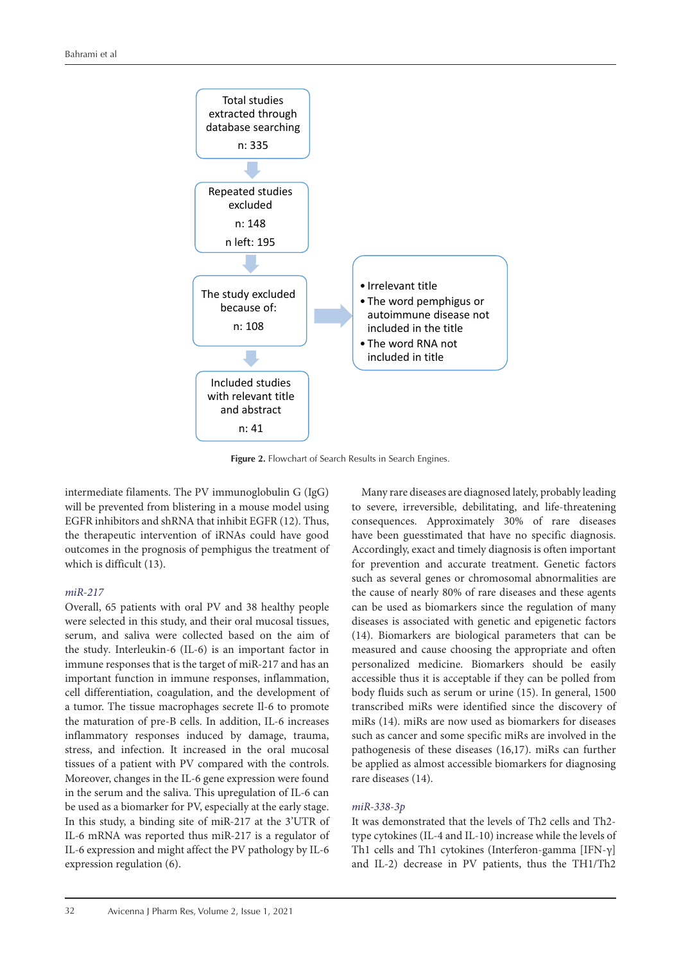<span id="page-2-0"></span>

**Figure 2.** Flowchart of Search Results in Search Engines.

intermediate filaments. The PV immunoglobulin G (IgG) will be prevented from blistering in a mouse model using EGFR inhibitors and shRNA that inhibit EGFR (12). Thus, the therapeutic intervention of iRNAs could have good outcomes in the prognosis of pemphigus the treatment of which is difficult (13).

### *miR-217*

Overall, 65 patients with oral PV and 38 healthy people were selected in this study, and their oral mucosal tissues, serum, and saliva were collected based on the aim of the study. Interleukin-6 (IL-6) is an important factor in immune responses that is the target of miR-217 and has an important function in immune responses, inflammation, cell differentiation, coagulation, and the development of a tumor. The tissue macrophages secrete Il-6 to promote the maturation of pre-B cells. In addition, IL-6 increases inflammatory responses induced by damage, trauma, stress, and infection. It increased in the oral mucosal tissues of a patient with PV compared with the controls. Moreover, changes in the IL-6 gene expression were found in the serum and the saliva. This upregulation of IL-6 can be used as a biomarker for PV, especially at the early stage. In this study, a binding site of miR-217 at the 3'UTR of IL-6 mRNA was reported thus miR-217 is a regulator of IL-6 expression and might affect the PV pathology by IL-6 expression regulation (6).

Many rare diseases are diagnosed lately, probably leading to severe, irreversible, debilitating, and life-threatening consequences. Approximately 30% of rare diseases have been guesstimated that have no specific diagnosis. Accordingly, exact and timely diagnosis is often important for prevention and accurate treatment. Genetic factors such as several genes or chromosomal abnormalities are the cause of nearly 80% of rare diseases and these agents can be used as biomarkers since the regulation of many diseases is associated with genetic and epigenetic factors (14). Biomarkers are biological parameters that can be measured and cause choosing the appropriate and often personalized medicine. Biomarkers should be easily accessible thus it is acceptable if they can be polled from body fluids such as serum or urine (15). In general, 1500 transcribed miRs were identified since the discovery of miRs (14). miRs are now used as biomarkers for diseases such as cancer and some specific miRs are involved in the pathogenesis of these diseases (16,17). miRs can further be applied as almost accessible biomarkers for diagnosing rare diseases (14).

### *miR-338-3p*

It was demonstrated that the levels of Th2 cells and Th2 type cytokines (IL-4 and IL-10) increase while the levels of Th1 cells and Th1 cytokines (Interferon-gamma [IFN-γ] and IL-2) decrease in PV patients, thus the TH1/Th2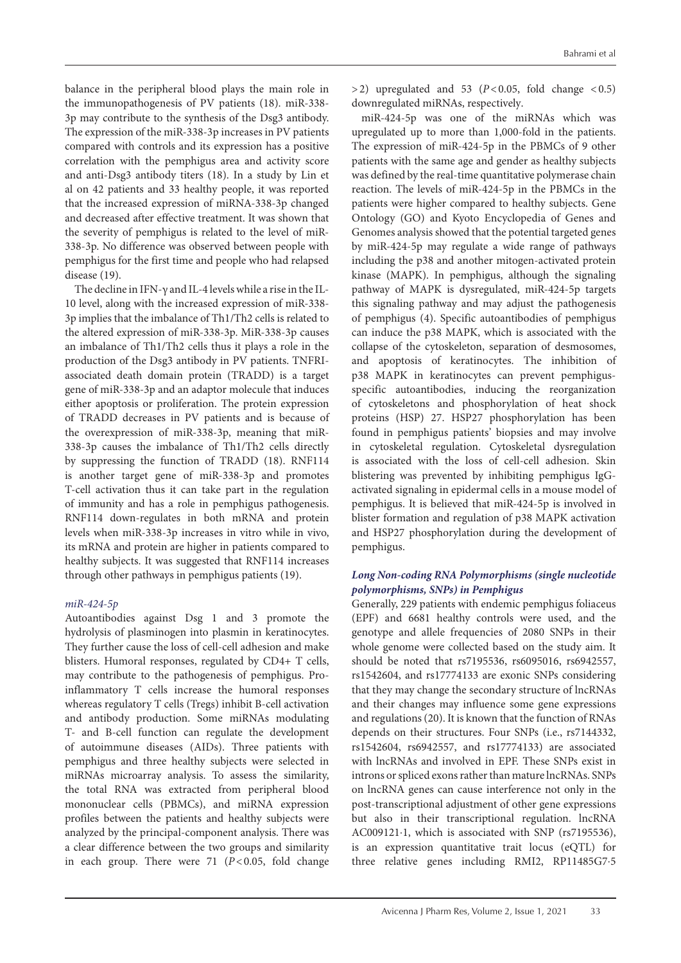balance in the peripheral blood plays the main role in the immunopathogenesis of PV patients (18). miR-338- 3p may contribute to the synthesis of the Dsg3 antibody. The expression of the miR-338-3p increases in PV patients compared with controls and its expression has a positive correlation with the pemphigus area and activity score and anti-Dsg3 antibody titers (18). In a study by Lin et al on 42 patients and 33 healthy people, it was reported that the increased expression of miRNA-338-3p changed and decreased after effective treatment. It was shown that the severity of pemphigus is related to the level of miR-338-3p. No difference was observed between people with pemphigus for the first time and people who had relapsed disease (19).

The decline in IFN-γ and IL-4 levels while a rise in the IL-10 level, along with the increased expression of miR-338- 3p implies that the imbalance of Th1/Th2 cells is related to the altered expression of miR-338-3p. MiR-338-3p causes an imbalance of Th1/Th2 cells thus it plays a role in the production of the Dsg3 antibody in PV patients. TNFRIassociated death domain protein (TRADD) is a target gene of miR-338-3p and an adaptor molecule that induces either apoptosis or proliferation. The protein expression of TRADD decreases in PV patients and is because of the overexpression of miR-338-3p, meaning that miR-338-3p causes the imbalance of Th1/Th2 cells directly by suppressing the function of TRADD (18). RNF114 is another target gene of miR-338-3p and promotes T-cell activation thus it can take part in the regulation of immunity and has a role in pemphigus pathogenesis. RNF114 down-regulates in both mRNA and protein levels when miR-338-3p increases in vitro while in vivo, its mRNA and protein are higher in patients compared to healthy subjects. It was suggested that RNF114 increases through other pathways in pemphigus patients (19).

# *miR-424-5p*

Autoantibodies against Dsg 1 and 3 promote the hydrolysis of plasminogen into plasmin in keratinocytes. They further cause the loss of cell-cell adhesion and make blisters. Humoral responses, regulated by CD4+ T cells, may contribute to the pathogenesis of pemphigus. Proinflammatory T cells increase the humoral responses whereas regulatory T cells (Tregs) inhibit B-cell activation and antibody production. Some miRNAs modulating T- and B-cell function can regulate the development of autoimmune diseases (AIDs). Three patients with pemphigus and three healthy subjects were selected in miRNAs microarray analysis. To assess the similarity, the total RNA was extracted from peripheral blood mononuclear cells (PBMCs), and miRNA expression profiles between the patients and healthy subjects were analyzed by the principal-component analysis. There was a clear difference between the two groups and similarity in each group. There were  $71$  ( $P < 0.05$ , fold change

 $>$ 2) upregulated and 53 ( $P$ <0.05, fold change <0.5) downregulated miRNAs, respectively.

miR-424-5p was one of the miRNAs which was upregulated up to more than 1,000-fold in the patients. The expression of miR-424-5p in the PBMCs of 9 other patients with the same age and gender as healthy subjects was defined by the real-time quantitative polymerase chain reaction. The levels of miR-424-5p in the PBMCs in the patients were higher compared to healthy subjects. Gene Ontology (GO) and Kyoto Encyclopedia of Genes and Genomes analysis showed that the potential targeted genes by miR-424-5p may regulate a wide range of pathways including the p38 and another mitogen-activated protein kinase (MAPK). In pemphigus, although the signaling pathway of MAPK is dysregulated, miR-424-5p targets this signaling pathway and may adjust the pathogenesis of pemphigus (4). Specific autoantibodies of pemphigus can induce the p38 MAPK, which is associated with the collapse of the cytoskeleton, separation of desmosomes, and apoptosis of keratinocytes. The inhibition of p38 MAPK in keratinocytes can prevent pemphigusspecific autoantibodies, inducing the reorganization of cytoskeletons and phosphorylation of heat shock proteins (HSP) 27. HSP27 phosphorylation has been found in pemphigus patients' biopsies and may involve in cytoskeletal regulation. Cytoskeletal dysregulation is associated with the loss of cell-cell adhesion. Skin blistering was prevented by inhibiting pemphigus IgGactivated signaling in epidermal cells in a mouse model of pemphigus. It is believed that miR-424-5p is involved in blister formation and regulation of p38 MAPK activation and HSP27 phosphorylation during the development of pemphigus.

# *Long Non-coding RNA Polymorphisms (single nucleotide polymorphisms, SNPs) in Pemphigus*

Generally, 229 patients with endemic pemphigus foliaceus (EPF) and 6681 healthy controls were used, and the genotype and allele frequencies of 2080 SNPs in their whole genome were collected based on the study aim. It should be noted that rs7195536, rs6095016, rs6942557, rs1542604, and rs17774133 are exonic SNPs considering that they may change the secondary structure of lncRNAs and their changes may influence some gene expressions and regulations (20). It is known that the function of RNAs depends on their structures. Four SNPs (i.e., rs7144332, rs1542604, rs6942557, and rs17774133) are associated with lncRNAs and involved in EPF. These SNPs exist in introns or spliced exons rather than mature lncRNAs. SNPs on lncRNA genes can cause interference not only in the post-transcriptional adjustment of other gene expressions but also in their transcriptional regulation. lncRNA AC009121⋅1, which is associated with SNP (rs7195536), is an expression quantitative trait locus (eQTL) for three relative genes including RMI2, RP11485G7⋅5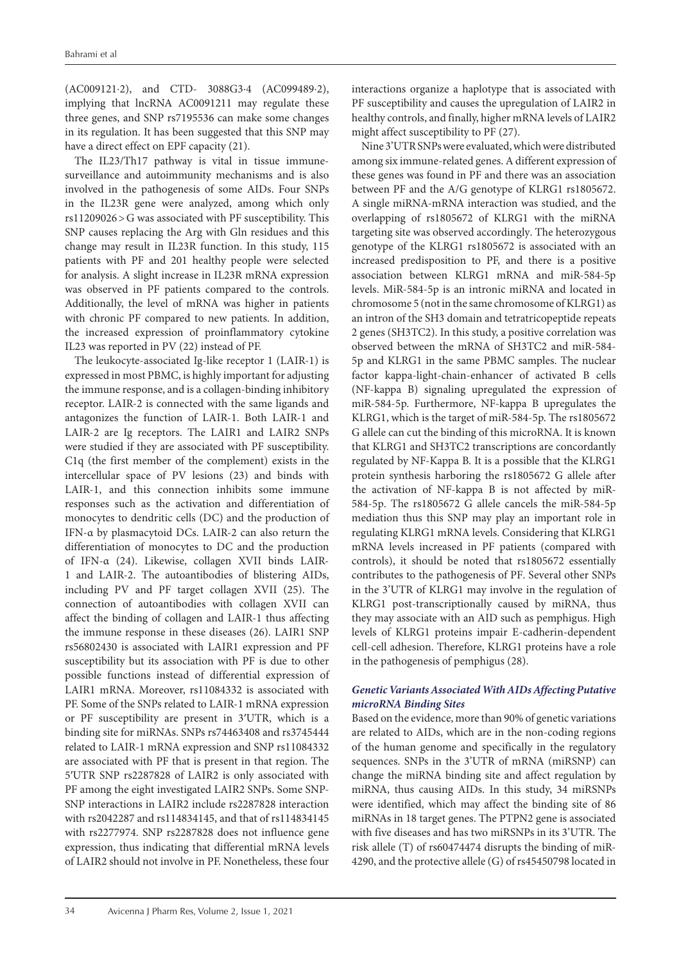(AC009121⋅2), and CTD- 3088G3⋅4 (AC099489⋅2), implying that lncRNA AC0091211 may regulate these three genes, and SNP rs7195536 can make some changes in its regulation. It has been suggested that this SNP may have a direct effect on EPF capacity (21).

The IL23/Th17 pathway is vital in tissue immunesurveillance and autoimmunity mechanisms and is also involved in the pathogenesis of some AIDs. Four SNPs in the IL23R gene were analyzed, among which only rs11209026>G was associated with PF susceptibility. This SNP causes replacing the Arg with Gln residues and this change may result in IL23R function. In this study, 115 patients with PF and 201 healthy people were selected for analysis. A slight increase in IL23R mRNA expression was observed in PF patients compared to the controls. Additionally, the level of mRNA was higher in patients with chronic PF compared to new patients. In addition, the increased expression of proinflammatory cytokine IL23 was reported in PV (22) instead of PF.

The leukocyte-associated Ig-like receptor 1 (LAIR-1) is expressed in most PBMC, is highly important for adjusting the immune response, and is a collagen-binding inhibitory receptor. LAIR-2 is connected with the same ligands and antagonizes the function of LAIR-1. Both LAIR-1 and LAIR-2 are Ig receptors. The LAIR1 and LAIR2 SNPs were studied if they are associated with PF susceptibility. C1q (the first member of the complement) exists in the intercellular space of PV lesions (23) and binds with LAIR-1, and this connection inhibits some immune responses such as the activation and differentiation of monocytes to dendritic cells (DC) and the production of IFN-α by plasmacytoid DCs. LAIR-2 can also return the differentiation of monocytes to DC and the production of IFN-α (24). Likewise, collagen XVII binds LAIR-1 and LAIR-2. The autoantibodies of blistering AIDs, including PV and PF target collagen XVII (25). The connection of autoantibodies with collagen XVII can affect the binding of collagen and LAIR-1 thus affecting the immune response in these diseases (26). LAIR1 SNP rs56802430 is associated with LAIR1 expression and PF susceptibility but its association with PF is due to other possible functions instead of differential expression of LAIR1 mRNA. Moreover, rs11084332 is associated with PF. Some of the SNPs related to LAIR-1 mRNA expression or PF susceptibility are present in 3′UTR, which is a binding site for miRNAs. SNPs rs74463408 and rs3745444 related to LAIR-1 mRNA expression and SNP rs11084332 are associated with PF that is present in that region. The 5′UTR SNP rs2287828 of LAIR2 is only associated with PF among the eight investigated LAIR2 SNPs. Some SNP-SNP interactions in LAIR2 include rs2287828 interaction with rs2042287 and rs114834145, and that of rs114834145 with rs2277974. SNP rs2287828 does not influence gene expression, thus indicating that differential mRNA levels of LAIR2 should not involve in PF. Nonetheless, these four

interactions organize a haplotype that is associated with PF susceptibility and causes the upregulation of LAIR2 in healthy controls, and finally, higher mRNA levels of LAIR2 might affect susceptibility to PF (27).

Nine 3'UTR SNPs were evaluated, which were distributed among six immune-related genes. A different expression of these genes was found in PF and there was an association between PF and the A/G genotype of KLRG1 rs1805672. A single miRNA-mRNA interaction was studied, and the overlapping of rs1805672 of KLRG1 with the miRNA targeting site was observed accordingly. The heterozygous genotype of the KLRG1 rs1805672 is associated with an increased predisposition to PF, and there is a positive association between KLRG1 mRNA and miR-584-5p levels. MiR-584-5p is an intronic miRNA and located in chromosome 5 (not in the same chromosome of KLRG1) as an intron of the SH3 domain and tetratricopeptide repeats 2 genes (SH3TC2). In this study, a positive correlation was observed between the mRNA of SH3TC2 and miR-584- 5p and KLRG1 in the same PBMC samples. The nuclear factor kappa-light-chain-enhancer of activated B cells (NF-kappa B) signaling upregulated the expression of miR-584-5p. Furthermore, NF-kappa B upregulates the KLRG1, which is the target of miR-584-5p. The rs1805672 G allele can cut the binding of this microRNA. It is known that KLRG1 and SH3TC2 transcriptions are concordantly regulated by NF-Kappa B. It is a possible that the KLRG1 protein synthesis harboring the rs1805672 G allele after the activation of NF-kappa B is not affected by miR-584-5p. The rs1805672 G allele cancels the miR-584-5p mediation thus this SNP may play an important role in regulating KLRG1 mRNA levels. Considering that KLRG1 mRNA levels increased in PF patients (compared with controls), it should be noted that rs1805672 essentially contributes to the pathogenesis of PF. Several other SNPs in the 3'UTR of KLRG1 may involve in the regulation of KLRG1 post-transcriptionally caused by miRNA, thus they may associate with an AID such as pemphigus. High levels of KLRG1 proteins impair E-cadherin-dependent cell-cell adhesion. Therefore, KLRG1 proteins have a role in the pathogenesis of pemphigus (28).

# *Genetic Variants Associated With AIDs Affecting Putative microRNA Binding Sites*

Based on the evidence, more than 90% of genetic variations are related to AIDs, which are in the non-coding regions of the human genome and specifically in the regulatory sequences. SNPs in the 3'UTR of mRNA (miRSNP) can change the miRNA binding site and affect regulation by miRNA, thus causing AIDs. In this study, 34 miRSNPs were identified, which may affect the binding site of 86 miRNAs in 18 target genes. The PTPN2 gene is associated with five diseases and has two miRSNPs in its 3'UTR. The risk allele (T) of rs60474474 disrupts the binding of miR-4290, and the protective allele (G) of rs45450798 located in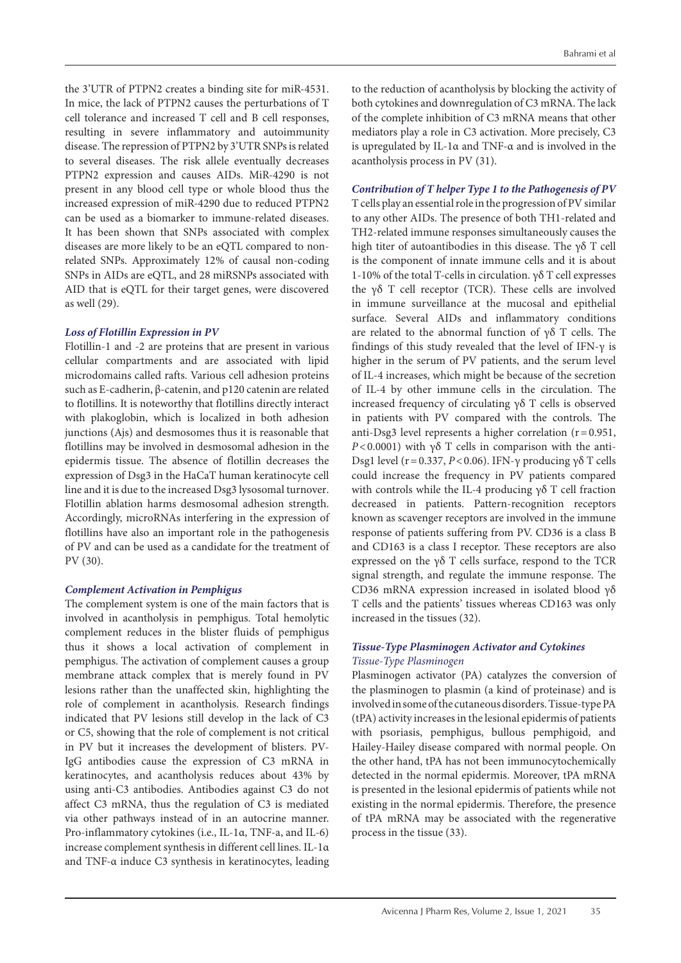the 3'UTR of PTPN2 creates a binding site for miR-4531. In mice, the lack of PTPN2 causes the perturbations of T cell tolerance and increased T cell and B cell responses, resulting in severe inflammatory and autoimmunity disease. The repression of PTPN2 by 3'UTR SNPs is related to several diseases. The risk allele eventually decreases PTPN2 expression and causes AIDs. MiR-4290 is not present in any blood cell type or whole blood thus the increased expression of miR-4290 due to reduced PTPN2 can be used as a biomarker to immune-related diseases. It has been shown that SNPs associated with complex diseases are more likely to be an eQTL compared to nonrelated SNPs. Approximately 12% of causal non-coding SNPs in AIDs are eQTL, and 28 miRSNPs associated with AID that is eQTL for their target genes, were discovered as well (29).

# *Loss of Flotillin Expression in PV*

Flotillin-1 and -2 are proteins that are present in various cellular compartments and are associated with lipid microdomains called rafts. Various cell adhesion proteins such as E-cadherin, β-catenin, and p120 catenin are related to flotillins. It is noteworthy that flotillins directly interact with plakoglobin, which is localized in both adhesion junctions (Ajs) and desmosomes thus it is reasonable that flotillins may be involved in desmosomal adhesion in the epidermis tissue. The absence of flotillin decreases the expression of Dsg3 in the HaCaT human keratinocyte cell line and it is due to the increased Dsg3 lysosomal turnover. Flotillin ablation harms desmosomal adhesion strength. Accordingly, microRNAs interfering in the expression of flotillins have also an important role in the pathogenesis of PV and can be used as a candidate for the treatment of PV (30).

# *Complement Activation in Pemphigus*

The complement system is one of the main factors that is involved in acantholysis in pemphigus. Total hemolytic complement reduces in the blister fluids of pemphigus thus it shows a local activation of complement in pemphigus. The activation of complement causes a group membrane attack complex that is merely found in PV lesions rather than the unaffected skin, highlighting the role of complement in acantholysis. Research findings indicated that PV lesions still develop in the lack of C3 or C5, showing that the role of complement is not critical in PV but it increases the development of blisters. PV-IgG antibodies cause the expression of C3 mRNA in keratinocytes, and acantholysis reduces about 43% by using anti-C3 antibodies. Antibodies against C3 do not affect C3 mRNA, thus the regulation of C3 is mediated via other pathways instead of in an autocrine manner. Pro-inflammatory cytokines (i.e., IL-1α, TNF-a, and IL-6) increase complement synthesis in different cell lines. IL-1α and TNF-α induce C3 synthesis in keratinocytes, leading

to the reduction of acantholysis by blocking the activity of both cytokines and downregulation of C3 mRNA. The lack of the complete inhibition of C3 mRNA means that other mediators play a role in C3 activation. More precisely, C3 is upregulated by IL-1α and TNF-α and is involved in the acantholysis process in PV (31).

# *Contribution of T helper Type 1 to the Pathogenesis of PV*

T cells play an essential role in the progression of PV similar to any other AIDs. The presence of both TH1-related and TH2-related immune responses simultaneously causes the high titer of autoantibodies in this disease. The  $\gamma\delta$  T cell is the component of innate immune cells and it is about 1-10% of the total T-cells in circulation. γδ T cell expresses the γδ T cell receptor (TCR). These cells are involved in immune surveillance at the mucosal and epithelial surface. Several AIDs and inflammatory conditions are related to the abnormal function of γδ T cells. The findings of this study revealed that the level of IFN-γ is higher in the serum of PV patients, and the serum level of IL-4 increases, which might be because of the secretion of IL-4 by other immune cells in the circulation. The increased frequency of circulating γδ T cells is observed in patients with PV compared with the controls. The anti-Dsg3 level represents a higher correlation ( $r=0.951$ , *P*<0.0001) with  $\gamma \delta$  T cells in comparison with the anti-Dsg1 level (r=0.337, *P*<0.06). IFN-γ producing γδ T cells could increase the frequency in PV patients compared with controls while the IL-4 producing γδ T cell fraction decreased in patients. Pattern-recognition receptors known as scavenger receptors are involved in the immune response of patients suffering from PV. CD36 is a class B and CD163 is a class I receptor. These receptors are also expressed on the γδ T cells surface, respond to the TCR signal strength, and regulate the immune response. The CD36 mRNA expression increased in isolated blood γδ T cells and the patients' tissues whereas CD163 was only increased in the tissues (32).

# *Tissue-Type Plasminogen Activator and Cytokines Tissue-Type Plasminogen*

Plasminogen activator (PA) catalyzes the conversion of the plasminogen to plasmin (a kind of proteinase) and is involved in some of the cutaneous disorders. Tissue-type PA (tPA) activity increases in the lesional epidermis of patients with psoriasis, pemphigus, bullous pemphigoid, and Hailey-Hailey disease compared with normal people. On the other hand, tPA has not been immunocytochemically detected in the normal epidermis. Moreover, tPA mRNA is presented in the lesional epidermis of patients while not existing in the normal epidermis. Therefore, the presence of tPA mRNA may be associated with the regenerative process in the tissue (33).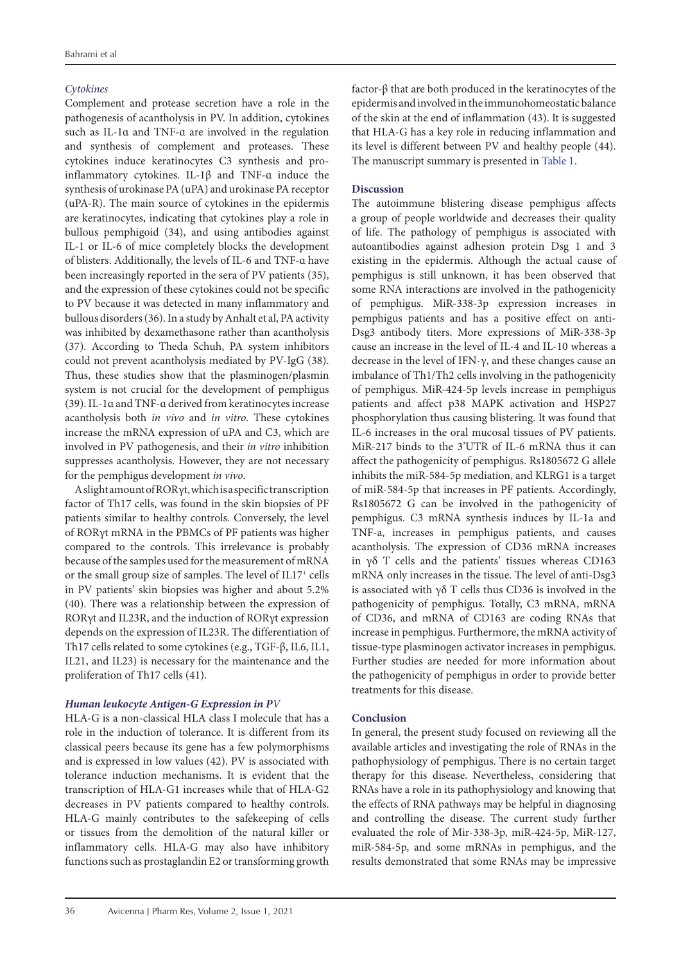# *Cytokines*

Complement and protease secretion have a role in the pathogenesis of acantholysis in PV. In addition, cytokines such as IL-1ɑ and TNF-ɑ are involved in the regulation and synthesis of complement and proteases. These cytokines induce keratinocytes C3 synthesis and proinflammatory cytokines. IL-1β and TNF-ɑ induce the synthesis of urokinase PA (uPA) and urokinase PA receptor (uPA-R). The main source of cytokines in the epidermis are keratinocytes, indicating that cytokines play a role in bullous pemphigoid (34), and using antibodies against IL-1 or IL-6 of mice completely blocks the development of blisters. Additionally, the levels of IL-6 and TNF-ɑ have been increasingly reported in the sera of PV patients (35), and the expression of these cytokines could not be specific to PV because it was detected in many inflammatory and bullous disorders (36). In a study by Anhalt et al, PA activity was inhibited by dexamethasone rather than acantholysis (37). According to Theda Schuh, PA system inhibitors could not prevent acantholysis mediated by PV-IgG (38). Thus, these studies show that the plasminogen/plasmin system is not crucial for the development of pemphigus (39). IL-1ɑ and TNF-ɑ derived from keratinocytes increase acantholysis both *in vivo* and *in vitro*. These cytokines increase the mRNA expression of uPA and C3, which are involved in PV pathogenesis, and their *in vitro* inhibition suppresses acantholysis. However, they are not necessary for the pemphigus development *in vivo*.

A slight amount of RORγt, which is a specific transcription factor of Th17 cells, was found in the skin biopsies of PF patients similar to healthy controls. Conversely, the level of RORγt mRNA in the PBMCs of PF patients was higher compared to the controls. This irrelevance is probably because of the samples used for the measurement of mRNA or the small group size of samples. The level of IL17+ cells in PV patients' skin biopsies was higher and about 5.2% (40). There was a relationship between the expression of RORγt and IL23R, and the induction of RORγt expression depends on the expression of IL23R. The differentiation of Th17 cells related to some cytokines (e.g., TGF-β, IL6, IL1, IL21, and IL23) is necessary for the maintenance and the proliferation of Th17 cells (41).

# *Human leukocyte Antigen-G Expression in PV*

HLA-G is a non-classical HLA class I molecule that has a role in the induction of tolerance. It is different from its classical peers because its gene has a few polymorphisms and is expressed in low values (42). PV is associated with tolerance induction mechanisms. It is evident that the transcription of HLA-G1 increases while that of HLA-G2 decreases in PV patients compared to healthy controls. HLA-G mainly contributes to the safekeeping of cells or tissues from the demolition of the natural killer or inflammatory cells. HLA-G may also have inhibitory functions such as prostaglandin E2 or transforming growth

factor-β that are both produced in the keratinocytes of the epidermis and involved in the immunohomeostatic balance of the skin at the end of inflammation (43). It is suggested that HLA-G has a key role in reducing inflammation and its level is different between PV and healthy people (44). The manuscript summary is presented in [Table 1](#page-7-0).

# **Discussion**

The autoimmune blistering disease pemphigus affects a group of people worldwide and decreases their quality of life. The pathology of pemphigus is associated with autoantibodies against adhesion protein Dsg 1 and 3 existing in the epidermis. Although the actual cause of pemphigus is still unknown, it has been observed that some RNA interactions are involved in the pathogenicity of pemphigus. MiR-338-3p expression increases in pemphigus patients and has a positive effect on anti-Dsg3 antibody titers. More expressions of MiR-338-3p cause an increase in the level of IL-4 and IL-10 whereas a decrease in the level of IFN-γ, and these changes cause an imbalance of Th1/Th2 cells involving in the pathogenicity of pemphigus. MiR-424-5p levels increase in pemphigus patients and affect p38 MAPK activation and HSP27 phosphorylation thus causing blistering. It was found that IL-6 increases in the oral mucosal tissues of PV patients. MiR-217 binds to the 3'UTR of IL-6 mRNA thus it can affect the pathogenicity of pemphigus. Rs1805672 G allele inhibits the miR-584-5p mediation, and KLRG1 is a target of miR-584-5p that increases in PF patients. Accordingly, Rs1805672 G can be involved in the pathogenicity of pemphigus. C3 mRNA synthesis induces by IL-1a and TNF-a, increases in pemphigus patients, and causes acantholysis. The expression of CD36 mRNA increases in γδ T cells and the patients' tissues whereas CD163 mRNA only increases in the tissue. The level of anti-Dsg3 is associated with γδ T cells thus CD36 is involved in the pathogenicity of pemphigus. Totally, C3 mRNA, mRNA of CD36, and mRNA of CD163 are coding RNAs that increase in pemphigus. Furthermore, the mRNA activity of tissue-type plasminogen activator increases in pemphigus. Further studies are needed for more information about the pathogenicity of pemphigus in order to provide better treatments for this disease.

# **Conclusion**

In general, the present study focused on reviewing all the available articles and investigating the role of RNAs in the pathophysiology of pemphigus. There is no certain target therapy for this disease. Nevertheless, considering that RNAs have a role in its pathophysiology and knowing that the effects of RNA pathways may be helpful in diagnosing and controlling the disease. The current study further evaluated the role of Mir-338-3p, miR-424-5p, MiR-127, miR-584-5p, and some mRNAs in pemphigus, and the results demonstrated that some RNAs may be impressive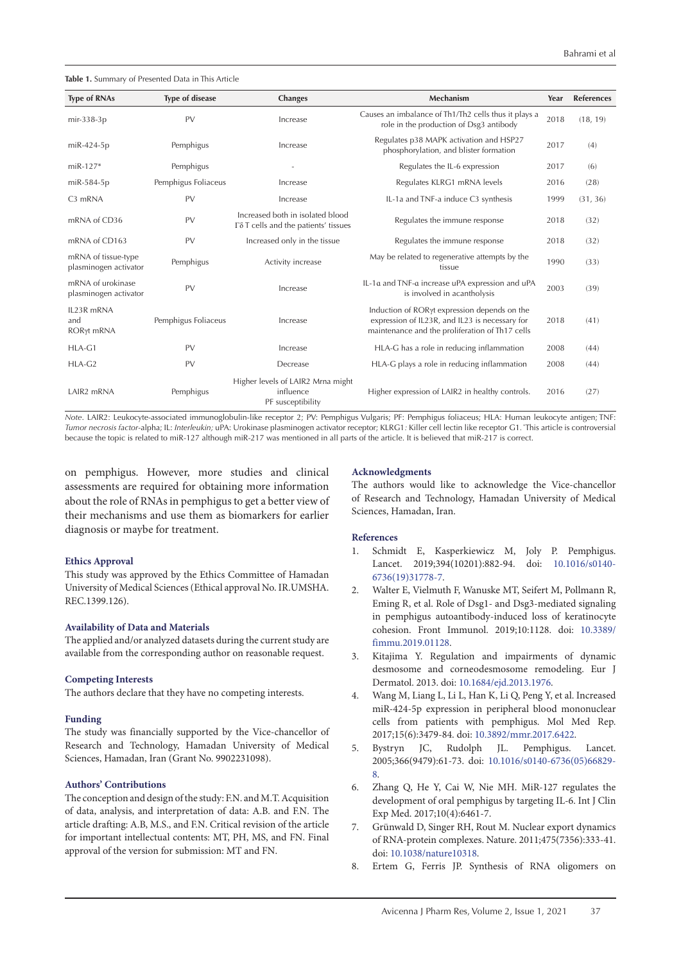<span id="page-7-0"></span>**Table 1.** Summary of Presented Data in This Article

| <b>Type of RNAs</b>                          | <b>Type of disease</b> | <b>Changes</b>                                                           | <b>Mechanism</b>                                                                                                                                  | Year | <b>References</b> |
|----------------------------------------------|------------------------|--------------------------------------------------------------------------|---------------------------------------------------------------------------------------------------------------------------------------------------|------|-------------------|
| mir-338-3p                                   | PV                     | Increase                                                                 | Causes an imbalance of Th1/Th2 cells thus it plays a<br>role in the production of Dsg3 antibody                                                   | 2018 | (18, 19)          |
| miR-424-5p                                   | Pemphigus              | Increase                                                                 | Regulates p38 MAPK activation and HSP27<br>phosphorylation, and blister formation                                                                 | 2017 | (4)               |
| $m$ iR-127*                                  | Pemphigus              |                                                                          | Regulates the IL-6 expression                                                                                                                     | 2017 | (6)               |
| miR-584-5p                                   | Pemphigus Foliaceus    | Increase                                                                 | Regulates KLRG1 mRNA levels                                                                                                                       | 2016 | (28)              |
| C3 mRNA                                      | PV                     | Increase                                                                 | IL-1a and TNF-a induce C3 synthesis                                                                                                               | 1999 | (31, 36)          |
| mRNA of CD36                                 | PV                     | Increased both in isolated blood<br>Γδ T cells and the patients' tissues | Regulates the immune response                                                                                                                     | 2018 | (32)              |
| mRNA of CD163                                | PV                     | Increased only in the tissue                                             | Regulates the immune response                                                                                                                     | 2018 | (32)              |
| mRNA of tissue-type<br>plasminogen activator | Pemphigus              | Activity increase                                                        | May be related to regenerative attempts by the<br>tissue                                                                                          | 1990 | (33)              |
| mRNA of urokinase<br>plasminogen activator   | PV                     | Increase                                                                 | IL-1a and TNF-a increase uPA expression and uPA<br>is involved in acantholysis                                                                    | 2003 | (39)              |
| IL23R mRNA<br>and<br>RORyt mRNA              | Pemphigus Foliaceus    | Increase                                                                 | Induction of RORyt expression depends on the<br>expression of IL23R, and IL23 is necessary for<br>maintenance and the proliferation of Th17 cells | 2018 | (41)              |
| $HLA-G1$                                     | PV                     | Increase                                                                 | HLA-G has a role in reducing inflammation                                                                                                         | 2008 | (44)              |
| HLA-G2                                       | PV                     | Decrease                                                                 | HLA-G plays a role in reducing inflammation                                                                                                       | 2008 | (44)              |
| LAIR <sub>2</sub> mRNA                       | Pemphigus              | Higher levels of LAIR2 Mrna might<br>influence<br>PF susceptibility      | Higher expression of LAIR2 in healthy controls.                                                                                                   | 2016 | (27)              |

*Note*. LAIR2: Leukocyte-associated immunoglobulin-like receptor 2; PV: Pemphigus Vulgaris; PF: Pemphigus foliaceus; HLA: Human leukocyte antigen; TNF: *Tumor necrosis factor*-alpha; IL: *Interleukin;* uPA: Urokinase plasminogen activator receptor; KLRG1*:* Killer cell lectin like receptor G1*.* \*This article is controversial because the topic is related to miR-127 although miR-217 was mentioned in all parts of the article. It is believed that miR-217 is correct.

on pemphigus. However, more studies and clinical assessments are required for obtaining more information about the role of RNAs in pemphigus to get a better view of their mechanisms and use them as biomarkers for earlier diagnosis or maybe for treatment.

### **Ethics Approval**

This study was approved by the Ethics Committee of Hamadan University of Medical Sciences (Ethical approval No. IR.UMSHA. REC.1399.126).

### **Availability of Data and Materials**

The applied and/or analyzed datasets during the current study are available from the corresponding author on reasonable request.

### **Competing Interests**

The authors declare that they have no competing interests.

### **Funding**

The study was financially supported by the Vice-chancellor of Research and Technology, Hamadan University of Medical Sciences, Hamadan, Iran (Grant No. 9902231098).

### **Authors' Contributions**

The conception and design of the study: F.N. and M.T. Acquisition of data, analysis, and interpretation of data: A.B. and F.N. The article drafting: A.B, M.S., and F.N. Critical revision of the article for important intellectual contents: MT, PH, MS, and FN. Final approval of the version for submission: MT and FN.

#### **Acknowledgments**

The authors would like to acknowledge the Vice-chancellor of Research and Technology, Hamadan University of Medical Sciences, Hamadan, Iran.

### **References**

- 1. Schmidt E, Kasperkiewicz M, Joly P. Pemphigus. Lancet. 2019;394(10201):882-94. doi: [10.1016/s0140-](https://doi.org/10.1016/s0140-6736(19)31778-7) [6736\(19\)31778-7.](https://doi.org/10.1016/s0140-6736(19)31778-7)
- 2. Walter E, Vielmuth F, Wanuske MT, Seifert M, Pollmann R, Eming R, et al. Role of Dsg1- and Dsg3-mediated signaling in pemphigus autoantibody-induced loss of keratinocyte cohesion. Front Immunol. 2019;10:1128. doi: [10.3389/](https://doi.org/110.3389/fimmu.2019.01128) [fimmu.2019.01128.](https://doi.org/110.3389/fimmu.2019.01128)
- 3. Kitajima Y. Regulation and impairments of dynamic desmosome and corneodesmosome remodeling. Eur J Dermatol. 2013. doi: [10.1684/ejd.2013.1976.](https://doi.org/10.1684/ejd.2013.1976)
- 4. Wang M, Liang L, Li L, Han K, Li Q, Peng Y, et al. Increased miR-424-5p expression in peripheral blood mononuclear cells from patients with pemphigus. Mol Med Rep. 2017;15(6):3479-84. doi: [10.3892/mmr.2017.6422](https://doi.org/10.3892/mmr.2017.6422).
- 5. Bystryn JC, Rudolph JL. Pemphigus. Lancet. 2005;366(9479):61-73. doi: [10.1016/s0140-6736\(05\)66829-](https://doi.org/10.1016/s0140-6736(05)66829-8) [8.](https://doi.org/10.1016/s0140-6736(05)66829-8)
- 6. Zhang Q, He Y, Cai W, Nie MH. MiR-127 regulates the development of oral pemphigus by targeting IL-6. Int J Clin Exp Med. 2017;10(4):6461-7.
- 7. Grünwald D, Singer RH, Rout M. Nuclear export dynamics of RNA-protein complexes. Nature. 2011;475(7356):333-41. doi: [10.1038/nature10318.](https://doi.org/10.1038/nature10318)
- 8. Ertem G, Ferris JP. Synthesis of RNA oligomers on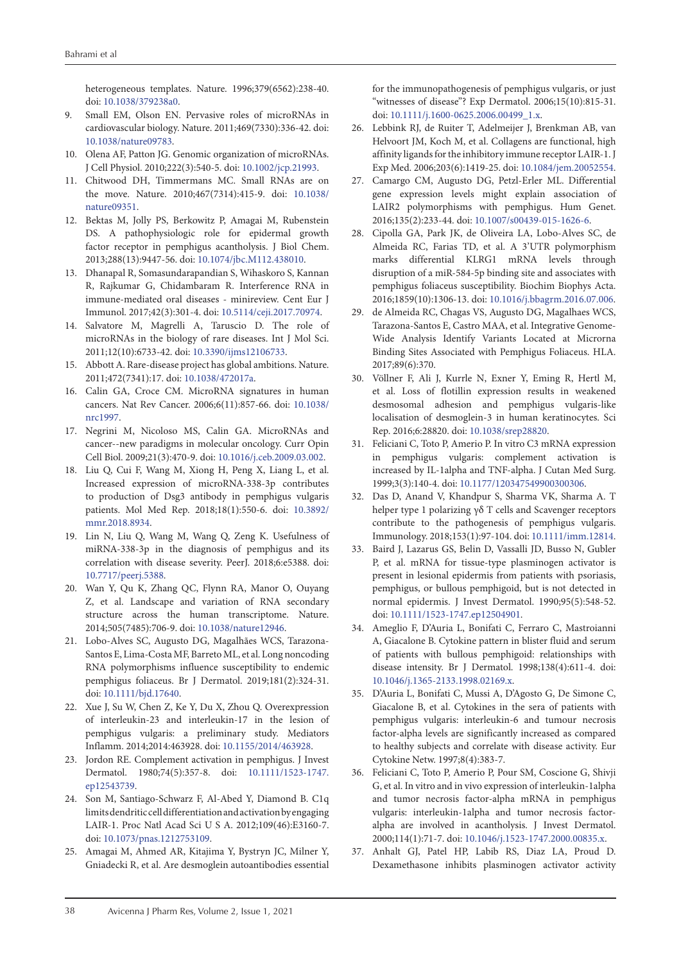heterogeneous templates. Nature. 1996;379(6562):238-40. doi: [10.1038/379238a0.](https://doi.org/10.1038/379238a0)

- 9. Small EM, Olson EN. Pervasive roles of microRNAs in cardiovascular biology. Nature. 2011;469(7330):336-42. doi: [10.1038/nature09783](https://doi.org/10.1038/nature09783).
- 10. Olena AF, Patton JG. Genomic organization of microRNAs. J Cell Physiol. 2010;222(3):540-5. doi: [10.1002/jcp.21993](https://doi.org/10.1002/jcp.21993).
- 11. Chitwood DH, Timmermans MC. Small RNAs are on the move. Nature. 2010;467(7314):415-9. doi: [10.1038/](https://doi.org/10.1038/nature09351) [nature09351](https://doi.org/10.1038/nature09351).
- 12. Bektas M, Jolly PS, Berkowitz P, Amagai M, Rubenstein DS. A pathophysiologic role for epidermal growth factor receptor in pemphigus acantholysis. J Biol Chem. 2013;288(13):9447-56. doi: [10.1074/jbc.M112.438010.](https://doi.org/10.1074/jbc.M112.438010)
- 13. Dhanapal R, Somasundarapandian S, Wihaskoro S, Kannan R, Rajkumar G, Chidambaram R. Interference RNA in immune-mediated oral diseases - minireview. Cent Eur J Immunol. 2017;42(3):301-4. doi: [10.5114/ceji.2017.70974.](https://doi.org/10.5114/ceji.2017.70974)
- 14. Salvatore M, Magrelli A, Taruscio D. The role of microRNAs in the biology of rare diseases. Int J Mol Sci. 2011;12(10):6733-42. doi: [10.3390/ijms12106733](https://doi.org/10.3390/ijms12106733).
- 15. Abbott A. Rare-disease project has global ambitions. Nature. 2011;472(7341):17. doi: [10.1038/472017a.](https://doi.org/10.1038/472017a)
- 16. Calin GA, Croce CM. MicroRNA signatures in human cancers. Nat Rev Cancer. 2006;6(11):857-66. doi: [10.1038/](https://doi.org/10.1038/nrc1997) [nrc1997.](https://doi.org/10.1038/nrc1997)
- 17. Negrini M, Nicoloso MS, Calin GA. MicroRNAs and cancer--new paradigms in molecular oncology. Curr Opin Cell Biol. 2009;21(3):470-9. doi: [10.1016/j.ceb.2009.03.002.](https://doi.org/10.1016/j.ceb.2009.03.002)
- 18. Liu Q, Cui F, Wang M, Xiong H, Peng X, Liang L, et al. Increased expression of microRNA-338-3p contributes to production of Dsg3 antibody in pemphigus vulgaris patients. Mol Med Rep. 2018;18(1):550-6. doi: [10.3892/](https://doi.org/10.3892/mmr.2018.8934) [mmr.2018.8934.](https://doi.org/10.3892/mmr.2018.8934)
- 19. Lin N, Liu Q, Wang M, Wang Q, Zeng K. Usefulness of miRNA-338-3p in the diagnosis of pemphigus and its correlation with disease severity. PeerJ. 2018;6:e5388. doi: [10.7717/peerj.5388](https://doi.org/10.7717/peerj.5388).
- 20. Wan Y, Qu K, Zhang QC, Flynn RA, Manor O, Ouyang Z, et al. Landscape and variation of RNA secondary structure across the human transcriptome. Nature. 2014;505(7485):706-9. doi: [10.1038/nature12946.](https://doi.org/10.1038/nature12946)
- 21. Lobo-Alves SC, Augusto DG, Magalhães WCS, Tarazona-Santos E, Lima-Costa MF, Barreto ML, et al. Long noncoding RNA polymorphisms influence susceptibility to endemic pemphigus foliaceus. Br J Dermatol. 2019;181(2):324-31. doi: [10.1111/bjd.17640.](https://doi.org/10.1111/bjd.17640)
- 22. Xue J, Su W, Chen Z, Ke Y, Du X, Zhou Q. Overexpression of interleukin-23 and interleukin-17 in the lesion of pemphigus vulgaris: a preliminary study. Mediators Inflamm. 2014;2014:463928. doi: [10.1155/2014/463928.](https://doi.org/10.1155/2014/463928)
- 23. Jordon RE. Complement activation in pemphigus. J Invest Dermatol. 1980;74(5):357-8. doi: [10.1111/1523-1747.](https://doi.org/10.1111/1523-1747.ep12543739) [ep12543739.](https://doi.org/10.1111/1523-1747.ep12543739)
- 24. Son M, Santiago-Schwarz F, Al-Abed Y, Diamond B. C1q limits dendritic cell differentiation and activation by engaging LAIR-1. Proc Natl Acad Sci U S A. 2012;109(46):E3160-7. doi: [10.1073/pnas.1212753109](https://doi.org/10.1073/pnas.1212753109).
- 25. Amagai M, Ahmed AR, Kitajima Y, Bystryn JC, Milner Y, Gniadecki R, et al. Are desmoglein autoantibodies essential

for the immunopathogenesis of pemphigus vulgaris, or just "witnesses of disease"? Exp Dermatol. 2006;15(10):815-31. doi: [10.1111/j.1600-0625.2006.00499\\_1.x](https://doi.org/10.1111/j.1600-0625.2006.00499_1.x).

- 26. Lebbink RJ, de Ruiter T, Adelmeijer J, Brenkman AB, van Helvoort JM, Koch M, et al. Collagens are functional, high affinity ligands for the inhibitory immune receptor LAIR-1. J Exp Med. 2006;203(6):1419-25. doi: [10.1084/jem.20052554.](https://doi.org/10.1084/jem.20052554)
- 27. Camargo CM, Augusto DG, Petzl-Erler ML. Differential gene expression levels might explain association of LAIR2 polymorphisms with pemphigus. Hum Genet. 2016;135(2):233-44. doi: [10.1007/s00439-015-1626-6](https://doi.org/10.1007/s00439-015-1626-6).
- 28. Cipolla GA, Park JK, de Oliveira LA, Lobo-Alves SC, de Almeida RC, Farias TD, et al. A 3'UTR polymorphism marks differential KLRG1 mRNA levels through disruption of a miR-584-5p binding site and associates with pemphigus foliaceus susceptibility. Biochim Biophys Acta. 2016;1859(10):1306-13. doi: [10.1016/j.bbagrm.2016.07.006](https://doi.org/10.1016/j.bbagrm.2016.07.006).
- 29. de Almeida RC, Chagas VS, Augusto DG, Magalhaes WCS, Tarazona-Santos E, Castro MAA, et al. Integrative Genome-Wide Analysis Identify Variants Located at Microrna Binding Sites Associated with Pemphigus Foliaceus. HLA. 2017;89(6):370.
- 30. Völlner F, Ali J, Kurrle N, Exner Y, Eming R, Hertl M, et al. Loss of flotillin expression results in weakened desmosomal adhesion and pemphigus vulgaris-like localisation of desmoglein-3 in human keratinocytes. Sci Rep. 2016;6:28820. doi: [10.1038/srep28820](https://doi.org/10.1038/srep28820).
- 31. Feliciani C, Toto P, Amerio P. In vitro C3 mRNA expression in pemphigus vulgaris: complement activation is increased by IL-1alpha and TNF-alpha. J Cutan Med Surg. 1999;3(3):140-4. doi: [10.1177/120347549900300306.](https://doi.org/10.1177/120347549900300306)
- 32. Das D, Anand V, Khandpur S, Sharma VK, Sharma A. T helper type 1 polarizing γδ T cells and Scavenger receptors contribute to the pathogenesis of pemphigus vulgaris. Immunology. 2018;153(1):97-104. doi: [10.1111/imm.12814.](https://doi.org/10.1111/imm.12814)
- 33. Baird J, Lazarus GS, Belin D, Vassalli JD, Busso N, Gubler P, et al. mRNA for tissue-type plasminogen activator is present in lesional epidermis from patients with psoriasis, pemphigus, or bullous pemphigoid, but is not detected in normal epidermis. J Invest Dermatol. 1990;95(5):548-52. doi: [10.1111/1523-1747.ep12504901](https://doi.org/10.1111/1523-1747.ep12504901).
- 34. Ameglio F, D'Auria L, Bonifati C, Ferraro C, Mastroianni A, Giacalone B. Cytokine pattern in blister fluid and serum of patients with bullous pemphigoid: relationships with disease intensity. Br J Dermatol. 1998;138(4):611-4. doi: [10.1046/j.1365-2133.1998.02169.x.](https://doi.org/10.1046/j.1365-2133.1998.02169.x)
- 35. D'Auria L, Bonifati C, Mussi A, D'Agosto G, De Simone C, Giacalone B, et al. Cytokines in the sera of patients with pemphigus vulgaris: interleukin-6 and tumour necrosis factor-alpha levels are significantly increased as compared to healthy subjects and correlate with disease activity. Eur Cytokine Netw. 1997;8(4):383-7.
- 36. Feliciani C, Toto P, Amerio P, Pour SM, Coscione G, Shivji G, et al. In vitro and in vivo expression of interleukin-1alpha and tumor necrosis factor-alpha mRNA in pemphigus vulgaris: interleukin-1alpha and tumor necrosis factoralpha are involved in acantholysis. J Invest Dermatol. 2000;114(1):71-7. doi: [10.1046/j.1523-1747.2000.00835.x.](https://doi.org/10.1046/j.1523-1747.2000.00835.x)
- 37. Anhalt GJ, Patel HP, Labib RS, Diaz LA, Proud D. Dexamethasone inhibits plasminogen activator activity